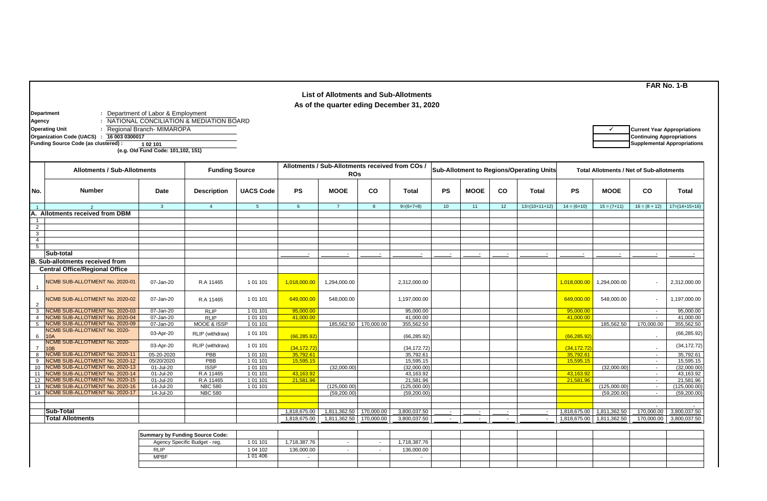| <b>List of Allotments and Sub-Allotments</b><br>As of the quarter eding December 31, 2020 |                                                                                  |                                                                   |                                         |                                                             |                 |                |            |                                          |                 |             |        |                                                 |               |               |                                                                        |                 |
|-------------------------------------------------------------------------------------------|----------------------------------------------------------------------------------|-------------------------------------------------------------------|-----------------------------------------|-------------------------------------------------------------|-----------------|----------------|------------|------------------------------------------|-----------------|-------------|--------|-------------------------------------------------|---------------|---------------|------------------------------------------------------------------------|-----------------|
| Agency                                                                                    | Department<br><b>Operating Unit</b><br>Organization Code (UACS) : 16 003 0300017 | : Department of Labor & Employment<br>: Regional Branch- MIMAROPA | NATIONAL CONCILIATION & MEDIATION BOARD |                                                             |                 |                |            |                                          |                 |             |        |                                                 |               |               | <b>Current Year Appropriations</b><br><b>Continuing Appropriations</b> |                 |
|                                                                                           | Funding Source Code (as clustered) :                                             | 1 02 101<br>(e.g. Old Fund Code: 101,102, 151)                    |                                         |                                                             |                 |                |            |                                          |                 |             |        |                                                 |               |               | <b>Supplemental Appropriations</b>                                     |                 |
|                                                                                           | <b>Allotments / Sub-Allotments</b>                                               | <b>Funding Source</b>                                             |                                         | Allotments / Sub-Allotments received from COs<br><b>ROs</b> |                 |                |            | Sub-Allotment to Regions/Operating Units |                 |             |        | <b>Total Allotments / Net of Sub-allotments</b> |               |               |                                                                        |                 |
| No.                                                                                       | <b>Number</b>                                                                    | Date                                                              | <b>Description</b>                      | <b>UACS Code</b>                                            | <b>PS</b>       | <b>MOOE</b>    | CO         | <b>Total</b>                             | <b>PS</b>       | <b>MOOE</b> | co     | <b>Total</b>                                    | <b>PS</b>     | <b>MOOE</b>   | <b>CO</b>                                                              | <b>Total</b>    |
|                                                                                           | 2                                                                                | $\mathbf{3}$                                                      | $\overline{4}$                          | 5                                                           | $6\phantom{.}6$ | $\overline{7}$ | 8          | $9=(6+7+8)$                              | 10 <sup>1</sup> | 11          | 12     | $13=(10+11+12)$                                 | $14 = (6+10)$ | $15 = (7+11)$ | $16 = (8 + 12)$                                                        | $17=(14+15+16)$ |
|                                                                                           | A. Allotments received from DBM                                                  |                                                                   |                                         |                                                             |                 |                |            |                                          |                 |             |        |                                                 |               |               |                                                                        |                 |
|                                                                                           |                                                                                  |                                                                   |                                         |                                                             |                 |                |            |                                          |                 |             |        |                                                 |               |               |                                                                        |                 |
| 2                                                                                         |                                                                                  |                                                                   |                                         |                                                             |                 |                |            |                                          |                 |             |        |                                                 |               |               |                                                                        |                 |
| 3                                                                                         |                                                                                  |                                                                   |                                         |                                                             |                 |                |            |                                          |                 |             |        |                                                 |               |               |                                                                        |                 |
| $\overline{4}$                                                                            |                                                                                  |                                                                   |                                         |                                                             |                 |                |            |                                          |                 |             |        |                                                 |               |               |                                                                        |                 |
| 5                                                                                         |                                                                                  |                                                                   |                                         |                                                             |                 |                |            |                                          |                 |             |        |                                                 |               |               |                                                                        |                 |
|                                                                                           | Sub-total                                                                        |                                                                   |                                         |                                                             |                 |                |            |                                          |                 |             |        |                                                 |               |               |                                                                        |                 |
|                                                                                           | <b>B. Sub-allotments received from</b>                                           |                                                                   |                                         |                                                             |                 |                |            |                                          |                 |             |        |                                                 |               |               |                                                                        |                 |
|                                                                                           | <b>Central Office/Regional Office</b>                                            |                                                                   |                                         |                                                             |                 |                |            |                                          |                 |             |        |                                                 |               |               |                                                                        |                 |
|                                                                                           | NCMB SUB-ALLOTMENT No. 2020-01                                                   | 07-Jan-20                                                         | R.A 11465                               | 1 01 101                                                    | 1,018,000.00    | 1,294,000.00   |            | 2,312,000.00                             |                 |             |        |                                                 | 1,018,000.00  | 1,294,000.00  |                                                                        | 2,312,000.00    |
| 2                                                                                         | <b>ICMB SUB-ALLOTMENT No. 2020-02</b>                                            | 07-Jan-20                                                         | R.A 11465                               | 1 01 101                                                    | 649,000.00      | 548,000.00     |            | 1,197,000.00                             |                 |             |        |                                                 | 649,000.00    | 548,000.00    | $\overline{\phantom{a}}$                                               | 1,197,000.00    |
| 3                                                                                         | <b>NCMB SUB-ALLOTMENT No. 2020-03</b>                                            | 07-Jan-20                                                         | <b>RLIP</b>                             | 1 01 101                                                    | 95,000.00       |                |            | 95,000.00                                |                 |             |        |                                                 | 95,000.00     |               | $\sim$                                                                 | 95,000.00       |
| $\overline{4}$                                                                            | <b>NCMB SUB-ALLOTMENT No. 2020-04</b>                                            | 07-Jan-20                                                         | <b>RLIP</b>                             | 1 01 101                                                    | 41.000.00       |                |            | 41,000.00                                |                 |             |        |                                                 | 41.000.00     |               | $\overline{\phantom{a}}$                                               | 41,000.00       |
| 5                                                                                         | NCMB SUB-ALLOTMENT No. 2020-09                                                   | 07-Jan-20                                                         | MOOE & ISSP                             | 1 01 101                                                    |                 | 185,562.50     | 170,000.00 | 355.562.50                               |                 |             |        |                                                 |               | 185,562.50    | 170,000.00                                                             | 355,562.50      |
| 6                                                                                         | <b>NCMB SUB-ALLOTMENT No. 2020-</b><br><b>10A</b>                                | 03-Apr-20                                                         | RLIP (withdraw)                         | 1 01 101                                                    | (66, 285.92)    |                |            | (66, 285.92)                             |                 |             |        |                                                 | (66, 285.92)  |               |                                                                        | (66, 285.92)    |
|                                                                                           | ICMB SUB-ALLOTMENT No. 2020-<br>0 <sub>B</sub>                                   | 03-Apr-20                                                         | RLIP (withdraw)                         | 1 01 101                                                    | (34, 172.72)    |                |            | (34, 172.72)                             |                 |             |        |                                                 | (34, 172.72)  |               |                                                                        | (34, 172.72)    |
|                                                                                           | NCMB SUB-ALLOTMENT No. 2020-11                                                   | 05-20-2020                                                        | PBB                                     | 1 01 101                                                    | 35,792.61       |                |            | 35,792.61                                |                 |             |        |                                                 | 35,792.61     |               | $\overline{\phantom{a}}$                                               | 35,792.61       |
| 9                                                                                         | <b>NCMB SUB-ALLOTMENT No. 2020-12</b>                                            | 05/20/2020                                                        | PBB                                     | 1 01 101                                                    | 15,595.15       |                |            | 15,595.15                                |                 |             |        |                                                 | 15,595.15     |               | $\sim$                                                                 | 15,595.15       |
| 10                                                                                        | <b>NCMB SUB-ALLOTMENT No. 2020-13</b>                                            | 01-Jul-20                                                         | <b>ISSP</b>                             | 1 01 101                                                    |                 | (32,000.00)    |            | (32,000.00)                              |                 |             |        |                                                 |               | (32,000.00)   | $\sim$                                                                 | (32,000.00)     |
| 11                                                                                        | <b>ICMB SUB-ALLOTMENT No. 2020-14</b>                                            | 01-Jul-20                                                         | R.A 11465                               | 1 01 101                                                    | 43,163.92       |                |            | 43,163.92                                |                 |             |        |                                                 | 43,163.92     |               | $\sim$                                                                 | 43,163.92       |
| 12                                                                                        | NCMB SUB-ALLOTMENT No. 2020-15                                                   | 01-Jul-20                                                         | R.A 11465                               | 1 01 1 01                                                   | 21.581.96       |                |            | 21,581.96                                |                 |             |        |                                                 | 21,581.96     |               | $\sim$                                                                 | 21,581.96       |
| 13                                                                                        | <b>NCMB SUB-ALLOTMENT No. 2020-16</b>                                            | 14-Jul-20                                                         | <b>NBC 580</b>                          | 1 01 101                                                    |                 | (125,000.00)   |            | (125,000.00)                             |                 |             |        |                                                 |               | (125,000.00)  | $\sim$                                                                 | (125.000.00)    |
| 14                                                                                        | <b>NCMB SUB-ALLOTMENT No. 2020-17</b>                                            | 14-Jul-20                                                         | <b>NBC 580</b>                          |                                                             |                 | (59, 200.00)   |            | (59, 200.00)                             |                 |             |        |                                                 |               | (59, 200.00)  |                                                                        | (59, 200.00)    |
|                                                                                           |                                                                                  |                                                                   |                                         |                                                             |                 |                |            |                                          |                 |             |        |                                                 |               |               |                                                                        |                 |
|                                                                                           | Sub-Total                                                                        |                                                                   |                                         |                                                             |                 |                |            |                                          |                 |             |        |                                                 |               |               |                                                                        |                 |
|                                                                                           | <b>Total Allotments</b>                                                          |                                                                   |                                         |                                                             | 1,818,675.00    | 1,811,362.50   | 170,000.00 | 3,800,037.50                             |                 |             | $\sim$ |                                                 | 1,818,675.00  | 1,811,362.50  | 170,000.00                                                             | 3,800,037.50    |
|                                                                                           |                                                                                  |                                                                   |                                         |                                                             | 1,818,675.00    | 1,811,362.50   | 170,000.00 | 3,800,037.50                             | $\sim$          | $\sim$      | $\sim$ | $\sim$                                          | 1,818,675.00  | 1,811,362.50  | 170,000.00                                                             | 3,800,037.50    |

| Summary by Funding Source Code: |          |              |  |             |  |  |  |  |
|---------------------------------|----------|--------------|--|-------------|--|--|--|--|
| Agency Specific Budget - reg.   | 1 01 101 | 1,718,387.76 |  | ,718,387.76 |  |  |  |  |
| <b>RLIP</b>                     | 1 04 102 | 136,000.00   |  | 136,000.00  |  |  |  |  |
| <b>MPBF</b>                     | 1 01 406 |              |  |             |  |  |  |  |
|                                 |          |              |  |             |  |  |  |  |

**FAR No. 1-B**